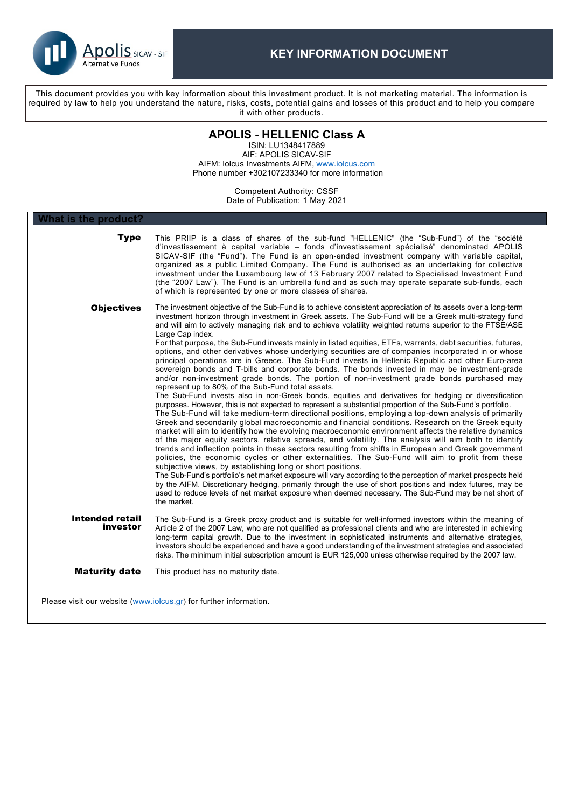

This document provides you with key information about this investment product. It is not marketing material. The information is required by law to help you understand the nature, risks, costs, potential gains and losses of this product and to help you compare it with other products.

**APOLIS - HELLENIC Class A**

| ISIN: LU1348417889<br>AIF: APOLIS SICAV-SIF<br>AIFM: lolcus Investments AIFM, www.iolcus.com<br>Phone number +302107233340 for more information |                                                                                                                                                                                                                                                                                                                                                                                                                                                                                                                                                                                                                                                                                                                                                                                                                                                                                                                                                                                                                                                                                                                                                                                                                                                                                                                                                                                                                                                                                                                                                                                                                                                                                                                                                                                                                                                                                                                                                                                                                                                                                                                                                                                                                                  |  |  |  |  |
|-------------------------------------------------------------------------------------------------------------------------------------------------|----------------------------------------------------------------------------------------------------------------------------------------------------------------------------------------------------------------------------------------------------------------------------------------------------------------------------------------------------------------------------------------------------------------------------------------------------------------------------------------------------------------------------------------------------------------------------------------------------------------------------------------------------------------------------------------------------------------------------------------------------------------------------------------------------------------------------------------------------------------------------------------------------------------------------------------------------------------------------------------------------------------------------------------------------------------------------------------------------------------------------------------------------------------------------------------------------------------------------------------------------------------------------------------------------------------------------------------------------------------------------------------------------------------------------------------------------------------------------------------------------------------------------------------------------------------------------------------------------------------------------------------------------------------------------------------------------------------------------------------------------------------------------------------------------------------------------------------------------------------------------------------------------------------------------------------------------------------------------------------------------------------------------------------------------------------------------------------------------------------------------------------------------------------------------------------------------------------------------------|--|--|--|--|
| <b>Competent Authority: CSSF</b><br>Date of Publication: 1 May 2021                                                                             |                                                                                                                                                                                                                                                                                                                                                                                                                                                                                                                                                                                                                                                                                                                                                                                                                                                                                                                                                                                                                                                                                                                                                                                                                                                                                                                                                                                                                                                                                                                                                                                                                                                                                                                                                                                                                                                                                                                                                                                                                                                                                                                                                                                                                                  |  |  |  |  |
| What is the product?                                                                                                                            |                                                                                                                                                                                                                                                                                                                                                                                                                                                                                                                                                                                                                                                                                                                                                                                                                                                                                                                                                                                                                                                                                                                                                                                                                                                                                                                                                                                                                                                                                                                                                                                                                                                                                                                                                                                                                                                                                                                                                                                                                                                                                                                                                                                                                                  |  |  |  |  |
| <b>Type</b>                                                                                                                                     | This PRIIP is a class of shares of the sub-fund "HELLENIC" (the "Sub-Fund") of the "société<br>d'investissement à capital variable – fonds d'investissement spécialisé" denominated APOLIS<br>SICAV-SIF (the "Fund"). The Fund is an open-ended investment company with variable capital,<br>organized as a public Limited Company. The Fund is authorised as an undertaking for collective<br>investment under the Luxembourg law of 13 February 2007 related to Specialised Investment Fund<br>(the "2007 Law"). The Fund is an umbrella fund and as such may operate separate sub-funds, each<br>of which is represented by one or more classes of shares.                                                                                                                                                                                                                                                                                                                                                                                                                                                                                                                                                                                                                                                                                                                                                                                                                                                                                                                                                                                                                                                                                                                                                                                                                                                                                                                                                                                                                                                                                                                                                                    |  |  |  |  |
| <b>Objectives</b>                                                                                                                               | The investment objective of the Sub-Fund is to achieve consistent appreciation of its assets over a long-term<br>investment horizon through investment in Greek assets. The Sub-Fund will be a Greek multi-strategy fund<br>and will aim to actively managing risk and to achieve volatility weighted returns superior to the FTSE/ASE<br>Large Cap index.<br>For that purpose, the Sub-Fund invests mainly in listed equities, ETFs, warrants, debt securities, futures,<br>options, and other derivatives whose underlying securities are of companies incorporated in or whose<br>principal operations are in Greece. The Sub-Fund invests in Hellenic Republic and other Euro-area<br>sovereign bonds and T-bills and corporate bonds. The bonds invested in may be investment-grade<br>and/or non-investment grade bonds. The portion of non-investment grade bonds purchased may<br>represent up to 80% of the Sub-Fund total assets.<br>The Sub-Fund invests also in non-Greek bonds, equities and derivatives for hedging or diversification<br>purposes. However, this is not expected to represent a substantial proportion of the Sub-Fund's portfolio.<br>The Sub-Fund will take medium-term directional positions, employing a top-down analysis of primarily<br>Greek and secondarily global macroeconomic and financial conditions. Research on the Greek equity<br>market will aim to identify how the evolving macroeconomic environment affects the relative dynamics<br>of the major equity sectors, relative spreads, and volatility. The analysis will aim both to identify<br>trends and inflection points in these sectors resulting from shifts in European and Greek government<br>policies, the economic cycles or other externalities. The Sub-Fund will aim to profit from these<br>subjective views, by establishing long or short positions.<br>The Sub-Fund's portfolio's net market exposure will vary according to the perception of market prospects held<br>by the AIFM. Discretionary hedging, primarily through the use of short positions and index futures, may be<br>used to reduce levels of net market exposure when deemed necessary. The Sub-Fund may be net short of<br>the market. |  |  |  |  |
| Intended retail<br>investor                                                                                                                     | The Sub-Fund is a Greek proxy product and is suitable for well-informed investors within the meaning of<br>Article 2 of the 2007 Law, who are not qualified as professional clients and who are interested in achieving<br>long-term capital growth. Due to the investment in sophisticated instruments and alternative strategies,<br>investors should be experienced and have a good understanding of the investment strategies and associated<br>risks. The minimum initial subscription amount is EUR 125,000 unless otherwise required by the 2007 law.                                                                                                                                                                                                                                                                                                                                                                                                                                                                                                                                                                                                                                                                                                                                                                                                                                                                                                                                                                                                                                                                                                                                                                                                                                                                                                                                                                                                                                                                                                                                                                                                                                                                     |  |  |  |  |
| <b>Maturity date</b>                                                                                                                            | This product has no maturity date.                                                                                                                                                                                                                                                                                                                                                                                                                                                                                                                                                                                                                                                                                                                                                                                                                                                                                                                                                                                                                                                                                                                                                                                                                                                                                                                                                                                                                                                                                                                                                                                                                                                                                                                                                                                                                                                                                                                                                                                                                                                                                                                                                                                               |  |  |  |  |

Please visit our website [\(www.iolcus.gr](http://www.iolcus.gr/)) for further information.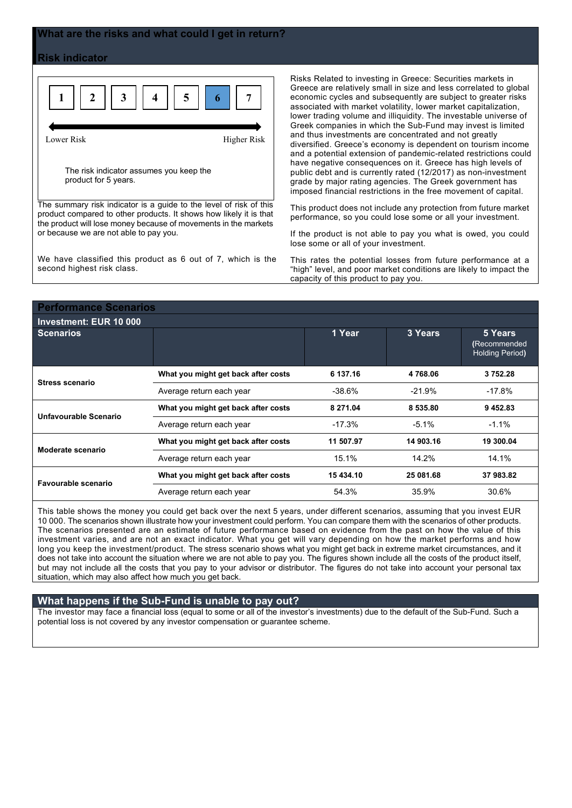#### **Risk indicator**



Lower Risk Higher Risk

The risk indicator assumes you keep the product for 5 years.

The summary risk indicator is a guide to the level of risk of this product compared to other products. It shows how likely it is that the product will lose money because of movements in the markets or because we are not able to pay you.

We have classified this product as 6 out of 7, which is the second highest risk class.

Risks Related to investing in Greece: Securities markets in Greece are relatively small in size and less correlated to global economic cycles and subsequently are subject to greater risks associated with market volatility, lower market capitalization, lower trading volume and illiquidity. The investable universe of Greek companies in which the Sub-Fund may invest is limited and thus investments are concentrated and not greatly diversified. Greece's economy is dependent on tourism income and a potential extension of pandemic-related restrictions could have negative consequences on it. Greece has high levels of public debt and is currently rated (12/2017) as non-investment grade by major rating agencies. The Greek government has imposed financial restrictions in the free movement of capital.

This product does not include any protection from future market performance, so you could lose some or all your investment.

If the product is not able to pay you what is owed, you could lose some or all of your investment.

This rates the potential losses from future performance at a "high" level, and poor market conditions are likely to impact the capacity of this product to pay you.

| <b>Performance Scenarios</b> |                                     |           |           |                                                   |  |  |
|------------------------------|-------------------------------------|-----------|-----------|---------------------------------------------------|--|--|
| Investment: EUR 10 000       |                                     |           |           |                                                   |  |  |
| <b>Scenarios</b>             |                                     | 1 Year    | 3 Years   | 5 Years<br>(Recommended<br><b>Holding Period)</b> |  |  |
| <b>Stress scenario</b>       | What you might get back after costs | 6 137.16  | 4768.06   | 3752.28                                           |  |  |
|                              | Average return each year            | $-38.6\%$ | $-21.9%$  | -17.8%                                            |  |  |
| Unfavourable Scenario        | What you might get back after costs | 8 271.04  | 8 535.80  | 9452.83                                           |  |  |
|                              | Average return each year            | $-17.3%$  | $-5.1\%$  | $-1.1\%$                                          |  |  |
| Moderate scenario            | What you might get back after costs | 11 507.97 | 14 903.16 | 19 300.04                                         |  |  |
|                              | Average return each year            | 15.1%     | 14.2%     | 14.1%                                             |  |  |
| Favourable scenario          | What you might get back after costs | 15 434.10 | 25 081.68 | 37 983.82                                         |  |  |
|                              | Average return each year            | 54.3%     | 35.9%     | 30.6%                                             |  |  |

This table shows the money you could get back over the next 5 years, under different scenarios, assuming that you invest EUR 10 000. The scenarios shown illustrate how your investment could perform. You can compare them with the scenarios of other products. The scenarios presented are an estimate of future performance based on evidence from the past on how the value of this investment varies, and are not an exact indicator. What you get will vary depending on how the market performs and how long you keep the investment/product. The stress scenario shows what you might get back in extreme market circumstances, and it does not take into account the situation where we are not able to pay you. The figures shown include all the costs of the product itself, but may not include all the costs that you pay to your advisor or distributor. The figures do not take into account your personal tax situation, which may also affect how much you get back.

## **What happens if the Sub-Fund is unable to pay out?**

The investor may face a financial loss (equal to some or all of the investor's investments) due to the default of the Sub-Fund. Such a potential loss is not covered by any investor compensation or guarantee scheme.